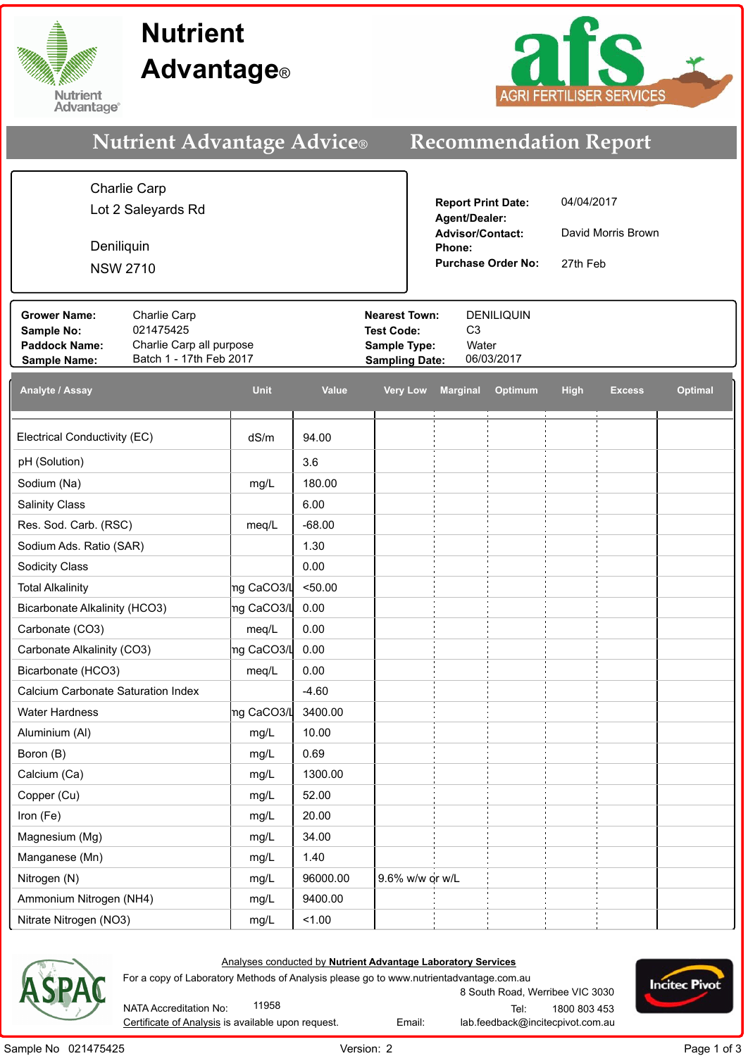

## **Nutrient Advantage**®

Advantage®



**Nutrient Advantage Advice® Recommendation Report**

**Report Print Date:**

Lot 2 Saleyards Rd Charlie Carp

**Deniliquin** 

NSW 2710

**Agent/Dealer: Advisor/Contact:** David Morris Brown **Phone: Purchase Order No:** 27th Feb

04/04/2017

| <b>Grower Name:</b><br><b>Sample No:</b><br><b>Paddock Name:</b><br><b>Sample Name:</b> | Charlie Carp<br>021475425<br>Charlie Carp all purpose<br>Batch 1 - 17th Feb 2017 |             |              | <b>Nearest Town:</b><br><b>Test Code:</b><br>Sample Type:<br><b>Sampling Date:</b> |                 | <b>DENILIQUIN</b><br>C <sub>3</sub><br>Water<br>06/03/2017 |         |             |               |                |
|-----------------------------------------------------------------------------------------|----------------------------------------------------------------------------------|-------------|--------------|------------------------------------------------------------------------------------|-----------------|------------------------------------------------------------|---------|-------------|---------------|----------------|
| Analyte / Assay                                                                         |                                                                                  | <b>Unit</b> | <b>Value</b> | <b>Very Low</b>                                                                    | <b>Marginal</b> |                                                            | Optimum | <b>High</b> | <b>Excess</b> | <b>Optimal</b> |
| Electrical Conductivity (EC)                                                            |                                                                                  | dS/m        | 94.00        |                                                                                    |                 |                                                            |         |             |               |                |
| pH (Solution)                                                                           |                                                                                  |             | 3.6          |                                                                                    |                 |                                                            |         |             |               |                |
| Sodium (Na)                                                                             |                                                                                  | mg/L        | 180.00       |                                                                                    |                 |                                                            |         |             |               |                |
| <b>Salinity Class</b>                                                                   |                                                                                  |             | 6.00         |                                                                                    |                 |                                                            |         |             |               |                |
| Res. Sod. Carb. (RSC)                                                                   |                                                                                  | meg/L       | $-68.00$     |                                                                                    |                 |                                                            |         |             |               |                |
| Sodium Ads. Ratio (SAR)                                                                 |                                                                                  |             | 1.30         |                                                                                    |                 |                                                            |         |             |               |                |
| Sodicity Class                                                                          |                                                                                  |             | 0.00         |                                                                                    |                 |                                                            |         |             |               |                |
| <b>Total Alkalinity</b>                                                                 |                                                                                  | ng CaCO3/L  | < 50.00      |                                                                                    |                 |                                                            |         |             |               |                |
| Bicarbonate Alkalinity (HCO3)                                                           |                                                                                  | ng CaCO3/l  | 0.00         |                                                                                    |                 |                                                            |         |             |               |                |
| Carbonate (CO3)                                                                         |                                                                                  | meg/L       | 0.00         |                                                                                    |                 |                                                            |         |             |               |                |
| Carbonate Alkalinity (CO3)                                                              |                                                                                  | ng CaCO3/l  | 0.00         |                                                                                    |                 |                                                            |         |             |               |                |
| Bicarbonate (HCO3)                                                                      |                                                                                  | meq/L       | 0.00         |                                                                                    |                 |                                                            |         |             |               |                |
| <b>Calcium Carbonate Saturation Index</b>                                               |                                                                                  |             | $-4.60$      |                                                                                    |                 |                                                            |         |             |               |                |
| <b>Water Hardness</b>                                                                   |                                                                                  | ng CaCO3/L  | 3400.00      |                                                                                    |                 |                                                            |         |             |               |                |
| Aluminium (AI)                                                                          |                                                                                  | mg/L        | 10.00        |                                                                                    |                 |                                                            |         |             |               |                |
| Boron (B)                                                                               |                                                                                  | mg/L        | 0.69         |                                                                                    |                 |                                                            |         |             |               |                |
| Calcium (Ca)                                                                            |                                                                                  | mg/L        | 1300.00      |                                                                                    |                 |                                                            |         |             |               |                |
| Copper (Cu)                                                                             |                                                                                  | mg/L        | 52.00        |                                                                                    |                 |                                                            |         |             |               |                |
| Iron (Fe)                                                                               |                                                                                  | mg/L        | 20.00        |                                                                                    |                 |                                                            |         |             |               |                |
| Magnesium (Mg)                                                                          |                                                                                  | mg/L        | 34.00        |                                                                                    |                 |                                                            |         |             |               |                |
| Manganese (Mn)                                                                          |                                                                                  | mg/L        | 1.40         |                                                                                    |                 |                                                            |         |             |               |                |
| Nitrogen (N)                                                                            |                                                                                  | mg/L        | 96000.00     | 9.6% w/w or w/L                                                                    |                 |                                                            |         |             |               |                |
| Ammonium Nitrogen (NH4)                                                                 |                                                                                  | mg/L        | 9400.00      |                                                                                    |                 |                                                            |         |             |               |                |



Analyses conducted by **Nutrient Advantage Laboratory Services**

For a copy of Laboratory Methods of Analysis please go to www.nutrientadvantage.com.au

8 South Road, Werribee VIC 3030 1800 803 453



NATA Accreditation No: 11958 **1998** Tel: Certificate of Analysis is available upon request. <br>
Email: lab.feedback@incitecpivot.com.au

Nitrate Nitrogen (NO3) mg/L <1.00

Sample No 021475425 Version: 2 Page 1 of 3

Email: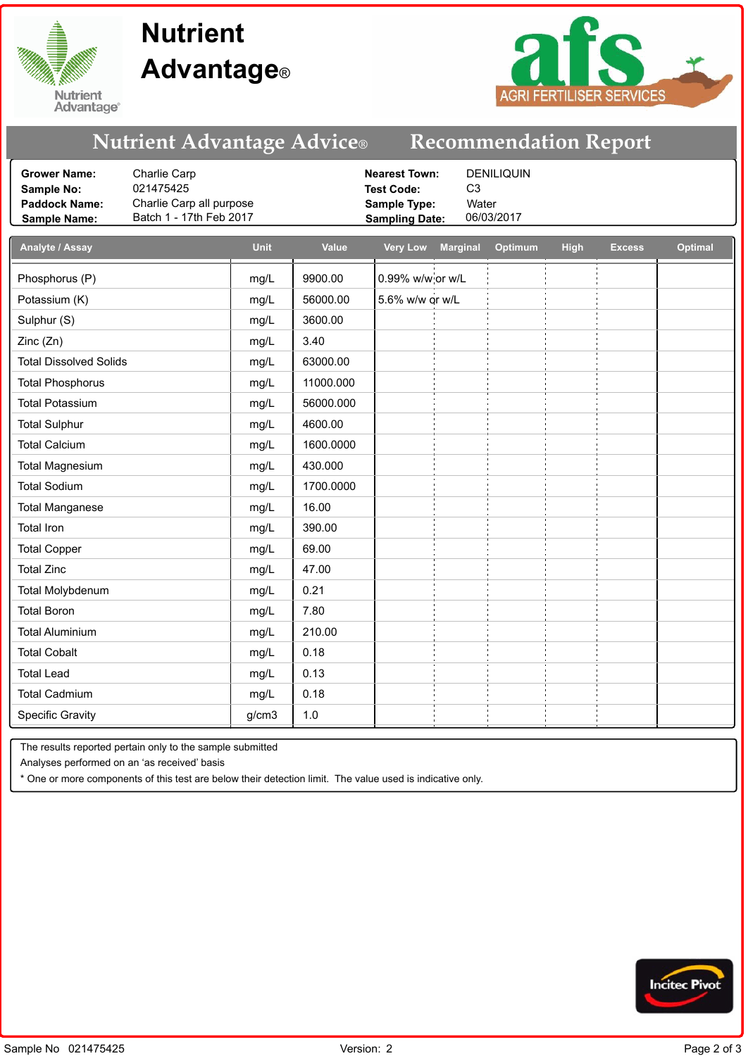

 $\mathsf{L}$ 

# **Nutrient Advantage**®



**Nutrient Advantage Advice® Recommendation Report**

| <b>Grower Name:</b><br>021475425<br><b>Sample No:</b><br><b>Paddock Name:</b><br><b>Sample Name:</b> | Charlie Carp<br>Charlie Carp all purpose<br>Batch 1 - 17th Feb 2017 |              | <b>Nearest Town:</b><br><b>Test Code:</b><br>Sample Type:<br><b>Sampling Date:</b> | C <sub>3</sub><br>Water | <b>DENILIQUIN</b><br>06/03/2017 |             |               |                |
|------------------------------------------------------------------------------------------------------|---------------------------------------------------------------------|--------------|------------------------------------------------------------------------------------|-------------------------|---------------------------------|-------------|---------------|----------------|
| Analyte / Assay                                                                                      | <b>Unit</b>                                                         | <b>Value</b> | <b>Very Low</b>                                                                    | <b>Marginal</b>         | Optimum                         | <b>High</b> | <b>Excess</b> | <b>Optimal</b> |
| Phosphorus (P)                                                                                       | mg/L                                                                | 9900.00      | 0.99% w/w or w/L                                                                   |                         |                                 |             |               |                |
| Potassium (K)                                                                                        | mg/L                                                                | 56000.00     | 5.6% w/w or w/L                                                                    |                         |                                 |             |               |                |
| Sulphur (S)                                                                                          | mg/L                                                                | 3600.00      |                                                                                    |                         |                                 |             |               |                |
| Zinc (Zn)                                                                                            | mg/L                                                                | 3.40         |                                                                                    |                         |                                 |             |               |                |
| <b>Total Dissolved Solids</b>                                                                        | mg/L                                                                | 63000.00     |                                                                                    |                         |                                 |             |               |                |
| <b>Total Phosphorus</b>                                                                              | mg/L                                                                | 11000.000    |                                                                                    |                         |                                 |             |               |                |
| <b>Total Potassium</b>                                                                               | mg/L                                                                | 56000.000    |                                                                                    |                         |                                 |             |               |                |
| <b>Total Sulphur</b>                                                                                 | mg/L                                                                | 4600.00      |                                                                                    |                         |                                 |             |               |                |
| <b>Total Calcium</b>                                                                                 | mg/L                                                                | 1600.0000    |                                                                                    |                         |                                 |             |               |                |
| <b>Total Magnesium</b>                                                                               | mg/L                                                                | 430.000      |                                                                                    |                         |                                 |             |               |                |
| <b>Total Sodium</b>                                                                                  | mg/L                                                                | 1700.0000    |                                                                                    |                         |                                 |             |               |                |
| <b>Total Manganese</b>                                                                               | mg/L                                                                | 16.00        |                                                                                    |                         |                                 |             |               |                |
| <b>Total Iron</b>                                                                                    | mg/L                                                                | 390.00       |                                                                                    |                         |                                 |             |               |                |
| <b>Total Copper</b>                                                                                  | mg/L                                                                | 69.00        |                                                                                    |                         |                                 |             |               |                |
| <b>Total Zinc</b>                                                                                    | mg/L                                                                | 47.00        |                                                                                    |                         |                                 |             |               |                |
| <b>Total Molybdenum</b>                                                                              | mg/L                                                                | 0.21         |                                                                                    |                         |                                 |             |               |                |
| <b>Total Boron</b>                                                                                   | mg/L                                                                | 7.80         |                                                                                    |                         |                                 |             |               |                |
| <b>Total Aluminium</b>                                                                               | mg/L                                                                | 210.00       |                                                                                    |                         |                                 |             |               |                |
| <b>Total Cobalt</b>                                                                                  | mg/L                                                                | 0.18         |                                                                                    |                         |                                 |             |               |                |
| <b>Total Lead</b>                                                                                    | mg/L                                                                | 0.13         |                                                                                    |                         |                                 |             |               |                |
| <b>Total Cadmium</b>                                                                                 | mg/L                                                                | 0.18         |                                                                                    |                         |                                 |             |               |                |
| <b>Specific Gravity</b>                                                                              | g/cm3                                                               | 1.0          |                                                                                    |                         |                                 |             |               |                |

The results reported pertain only to the sample submitted

Analyses performed on an 'as received' basis

\* One or more components of this test are below their detection limit. The value used is indicative only.